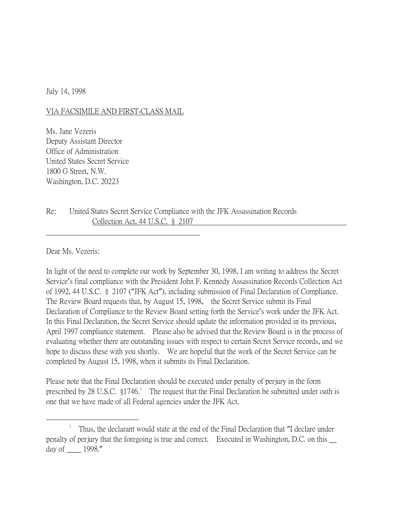July 14, 1998

## VIA FACSIMILE AND FIRST-CLASS MAIL

Ms. Jane Vezeris Deputy Assistant Director Office of Administration United States Secret Service 1800 G Street, N.W. Washington, D.C. 20223

Re: United States Secret Service Compliance with the JFK Assassination Records Collection Act, 44 U.S.C. § 2107

Dear Ms. Vezeris:

In light of the need to complete our work by September 30, 1998, I am writing to address the Secret Service's final compliance with the President John F. Kennedy Assassination Records Collection Act of 1992, 44 U.S.C. § 2107 ("JFK Act"), including submission of Final Declaration of Compliance. The Review Board requests that, by August 15, 1998, the Secret Service submit its Final Declaration of Compliance to the Review Board setting forth the Service's work under the JFK Act. In this Final Declaration, the Secret Service should update the information provided in its previous, April 1997 compliance statement. Please also be advised that the Review Board is in the process of evaluating whether there are outstanding issues with respect to certain Secret Service records, and we hope to discuss these with you shortly. We are hopeful that the work of the Secret Service can be completed by August 15, 1998, when it submits its Final Declaration.

Please note that the Final Declaration should be executed under penalty of perjury in the form prescribed by 28 U.S.C.  $\S1746$  $\S1746$  $\S1746$ <sup>1</sup> The request that the Final Declaration be submitted under oath is one that we have made of all Federal agencies under the JFK Act.

<span id="page-0-0"></span> $\overline{\phantom{a}}$  Thus, the declarant would state at the end of the Final Declaration that "I declare under penalty of perjury that the foregoing is true and correct. Executed in Washington, D.C. on this  $\Box$ day of \_\_\_\_ 1998."